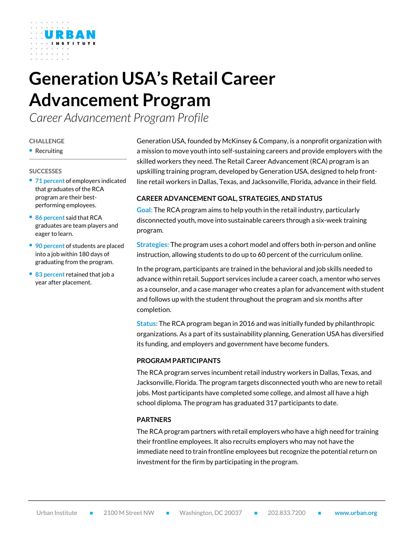# **Generation USA's Retail Career Advancement Program**

*Career Advancement Program Profile*

#### **CHALLENGE**

**Recruiting** 

#### **SUCCESSES**

- **71 percent of employers indicated** that graduates of the RCA program are their bestperforming employees.
- 86 percent said that RCA graduates are team players and eager to learn.
- **90 percent of students are placed** into a job within 180 days of graduating from the program.
- 83 percent retained that job a year after placement.

Generation USA, founded by McKinsey & Company, is a nonprofit organization with a mission to move youth into self-sustaining careers and provide employers with the skilled workers they need. The Retail Career Advancement (RCA) program is an upskilling training program, developed by Generation USA, designed to help frontline retail workers in Dallas, Texas, and Jacksonville, Florida, advance in their field.

# **CAREER ADVANCEMENT GOAL, STRATEGIES, AND STATUS**

**Goal:** The RCA program aims to help youth in the retail industry, particularly disconnected youth, move into sustainable careers through a six-week training program.

**Strategies:** The program uses a cohort model and offers both in-person and online instruction, allowing students to do up to 60 percent of the curriculum online.

In the program, participants are trained in the behavioral and job skills needed to advance within retail. Support services include a career coach, a mentor who serves as a counselor, and a case manager who creates a plan for advancement with student and follows up with the student throughout the program and six months after completion.

**Status:** The RCA program began in 2016 and was initially funded by philanthropic organizations. As a part of its sustainability planning, Generation USA has diversified its funding, and employers and government have become funders.

## **PROGRAM PARTICIPANTS**

The RCA program serves incumbent retail industry workers in Dallas, Texas, and Jacksonville, Florida. The program targets disconnected youth who are new to retail jobs. Most participants have completed some college, and almost all have a high school diploma. The program has graduated 317 participants to date.

## **PARTNERS**

The RCA program partners with retail employers who have a high need for training their frontline employees. It also recruits employers who may not have the immediate need to train frontline employees but recognize the potential return on investment for the firm by participating in the program.